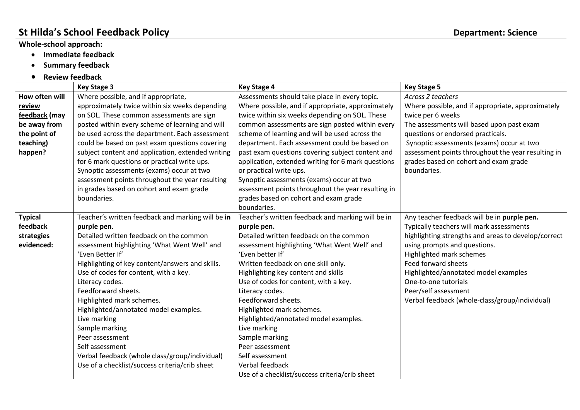## **St Hilda's School Feedback Policy Department: Science**

## **Whole-school approach:**

- **Immediate feedback**
- **•** Summary feedback
- **Review feedback**

|                | <b>Key Stage 3</b>                                | <b>Key Stage 4</b>                                 | <b>Key Stage 5</b>                                  |
|----------------|---------------------------------------------------|----------------------------------------------------|-----------------------------------------------------|
| How often will | Where possible, and if appropriate,               | Assessments should take place in every topic.      | Across 2 teachers                                   |
| review         | approximately twice within six weeks depending    | Where possible, and if appropriate, approximately  | Where possible, and if appropriate, approximately   |
| feedback (may  | on SOL. These common assessments are sign         | twice within six weeks depending on SOL. These     | twice per 6 weeks                                   |
| be away from   | posted within every scheme of learning and will   | common assessments are sign posted within every    | The assessments will based upon past exam           |
| the point of   | be used across the department. Each assessment    | scheme of learning and will be used across the     | questions or endorsed practicals.                   |
| teaching)      | could be based on past exam questions covering    | department. Each assessment could be based on      | Synoptic assessments (exams) occur at two           |
| happen?        | subject content and application, extended writing | past exam questions covering subject content and   | assessment points throughout the year resulting in  |
|                | for 6 mark questions or practical write ups.      | application, extended writing for 6 mark questions | grades based on cohort and exam grade               |
|                | Synoptic assessments (exams) occur at two         | or practical write ups.                            | boundaries.                                         |
|                | assessment points throughout the year resulting   | Synoptic assessments (exams) occur at two          |                                                     |
|                | in grades based on cohort and exam grade          | assessment points throughout the year resulting in |                                                     |
|                | boundaries.                                       | grades based on cohort and exam grade              |                                                     |
|                |                                                   | boundaries.                                        |                                                     |
| <b>Typical</b> | Teacher's written feedback and marking will be in | Teacher's written feedback and marking will be in  | Any teacher feedback will be in purple pen.         |
| feedback       | purple pen.                                       | purple pen.                                        | Typically teachers will mark assessments            |
| strategies     | Detailed written feedback on the common           | Detailed written feedback on the common            | highlighting strengths and areas to develop/correct |
| evidenced:     | assessment highlighting 'What Went Well' and      | assessment highlighting 'What Went Well' and       | using prompts and questions.                        |
|                | 'Even Better If'                                  | 'Even better If'                                   | Highlighted mark schemes                            |
|                | Highlighting of key content/answers and skills.   | Written feedback on one skill only.                | Feed forward sheets                                 |
|                | Use of codes for content, with a key.             | Highlighting key content and skills                | Highlighted/annotated model examples                |
|                | Literacy codes.                                   | Use of codes for content, with a key.              | One-to-one tutorials                                |
|                | Feedforward sheets.                               | Literacy codes.                                    | Peer/self assessment                                |
|                | Highlighted mark schemes.                         | Feedforward sheets.                                | Verbal feedback (whole-class/group/individual)      |
|                | Highlighted/annotated model examples.             | Highlighted mark schemes.                          |                                                     |
|                | Live marking                                      | Highlighted/annotated model examples.              |                                                     |
|                | Sample marking                                    | Live marking                                       |                                                     |
|                | Peer assessment                                   | Sample marking                                     |                                                     |
|                | Self assessment                                   | Peer assessment                                    |                                                     |
|                | Verbal feedback (whole class/group/individual)    | Self assessment                                    |                                                     |
|                | Use of a checklist/success criteria/crib sheet    | Verbal feedback                                    |                                                     |
|                |                                                   | Use of a checklist/success criteria/crib sheet     |                                                     |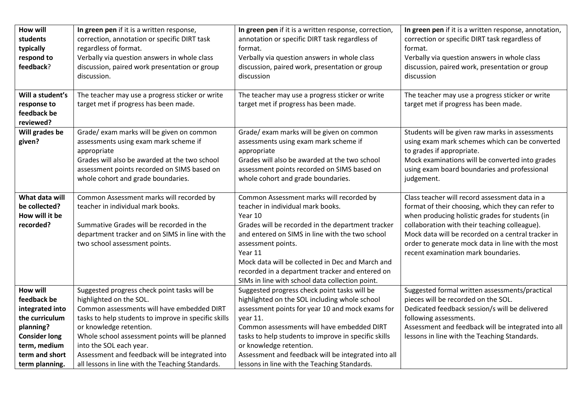| <b>How will</b><br>students<br>typically<br>respond to<br>feedback?                                                                                          | In green pen if it is a written response,<br>correction, annotation or specific DIRT task<br>regardless of format.<br>Verbally via question answers in whole class<br>discussion, paired work presentation or group<br>discussion.                                                                                                                                                           | In green pen if it is a written response, correction,<br>annotation or specific DIRT task regardless of<br>format.<br>Verbally via question answers in whole class<br>discussion, paired work, presentation or group<br>discussion                                                                                                                                                                    | In green pen if it is a written response, annotation,<br>correction or specific DIRT task regardless of<br>format.<br>Verbally via question answers in whole class<br>discussion, paired work, presentation or group<br>discussion                                                                                                                        |
|--------------------------------------------------------------------------------------------------------------------------------------------------------------|----------------------------------------------------------------------------------------------------------------------------------------------------------------------------------------------------------------------------------------------------------------------------------------------------------------------------------------------------------------------------------------------|-------------------------------------------------------------------------------------------------------------------------------------------------------------------------------------------------------------------------------------------------------------------------------------------------------------------------------------------------------------------------------------------------------|-----------------------------------------------------------------------------------------------------------------------------------------------------------------------------------------------------------------------------------------------------------------------------------------------------------------------------------------------------------|
| Will a student's<br>response to<br>feedback be<br>reviewed?                                                                                                  | The teacher may use a progress sticker or write<br>target met if progress has been made.                                                                                                                                                                                                                                                                                                     | The teacher may use a progress sticker or write<br>target met if progress has been made.                                                                                                                                                                                                                                                                                                              | The teacher may use a progress sticker or write<br>target met if progress has been made.                                                                                                                                                                                                                                                                  |
| Will grades be<br>given?                                                                                                                                     | Grade/ exam marks will be given on common<br>assessments using exam mark scheme if<br>appropriate<br>Grades will also be awarded at the two school<br>assessment points recorded on SIMS based on<br>whole cohort and grade boundaries.                                                                                                                                                      | Grade/ exam marks will be given on common<br>assessments using exam mark scheme if<br>appropriate<br>Grades will also be awarded at the two school<br>assessment points recorded on SIMS based on<br>whole cohort and grade boundaries.                                                                                                                                                               | Students will be given raw marks in assessments<br>using exam mark schemes which can be converted<br>to grades if appropriate.<br>Mock examinations will be converted into grades<br>using exam board boundaries and professional<br>judgement.                                                                                                           |
| What data will<br>be collected?<br>How will it be<br>recorded?                                                                                               | Common Assessment marks will recorded by<br>teacher in individual mark books.<br>Summative Grades will be recorded in the<br>department tracker and on SIMS in line with the<br>two school assessment points.                                                                                                                                                                                | Common Assessment marks will recorded by<br>teacher in individual mark books.<br>Year 10<br>Grades will be recorded in the department tracker<br>and entered on SIMS in line with the two school<br>assessment points.<br>Year 11<br>Mock data will be collected in Dec and March and<br>recorded in a department tracker and entered on<br>SIMs in line with school data collection point.           | Class teacher will record assessment data in a<br>format of their choosing, which they can refer to<br>when producing holistic grades for students (in<br>collaboration with their teaching colleague).<br>Mock data will be recorded on a central tracker in<br>order to generate mock data in line with the most<br>recent examination mark boundaries. |
| <b>How will</b><br>feedback be<br>integrated into<br>the curriculum<br>planning?<br><b>Consider long</b><br>term, medium<br>term and short<br>term planning. | Suggested progress check point tasks will be<br>highlighted on the SOL.<br>Common assessments will have embedded DIRT<br>tasks to help students to improve in specific skills<br>or knowledge retention.<br>Whole school assessment points will be planned<br>into the SOL each year.<br>Assessment and feedback will be integrated into<br>all lessons in line with the Teaching Standards. | Suggested progress check point tasks will be<br>highlighted on the SOL including whole school<br>assessment points for year 10 and mock exams for<br>year 11.<br>Common assessments will have embedded DIRT<br>tasks to help students to improve in specific skills<br>or knowledge retention.<br>Assessment and feedback will be integrated into all<br>lessons in line with the Teaching Standards. | Suggested formal written assessments/practical<br>pieces will be recorded on the SOL.<br>Dedicated feedback session/s will be delivered<br>following assessments.<br>Assessment and feedback will be integrated into all<br>lessons in line with the Teaching Standards.                                                                                  |